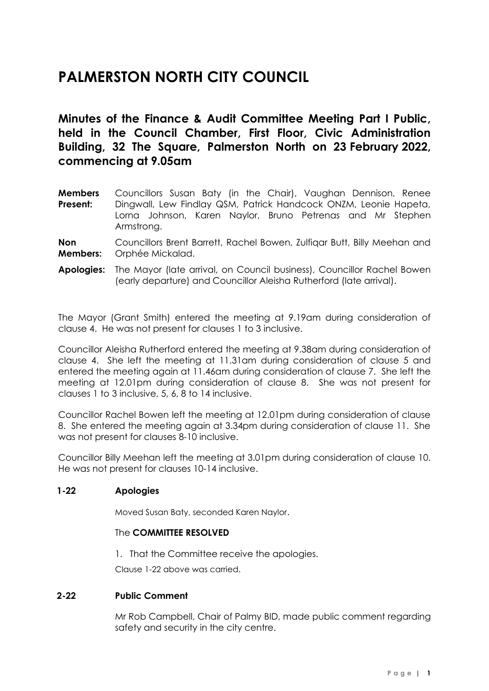# **PALMERSTON NORTH CITY COUNCIL**

**Minutes of the Finance & Audit Committee Meeting Part I Public, held in the Council Chamber, First Floor, Civic Administration Building, 32 The Square, Palmerston North on 23 February 2022, commencing at 9.05am**

**Members Present:** Councillors Susan Baty (in the Chair), Vaughan Dennison, Renee Dingwall, Lew Findlay QSM, Patrick Handcock ONZM, Leonie Hapeta, Lorna Johnson, Karen Naylor, Bruno Petrenas and Mr Stephen Armstrong.

**Non Members:** Councillors Brent Barrett, Rachel Bowen, Zulfiqar Butt, Billy Meehan and Orphée Mickalad.

**Apologies:** The Mayor (late arrival, on Council business), Councillor Rachel Bowen (early departure) and Councillor Aleisha Rutherford (late arrival).

The Mayor (Grant Smith) entered the meeting at 9.19am during consideration of clause 4. He was not present for clauses 1 to 3 inclusive.

Councillor Aleisha Rutherford entered the meeting at 9.38am during consideration of clause 4. She left the meeting at 11.31am during consideration of clause 5 and entered the meeting again at 11.46am during consideration of clause 7. She left the meeting at 12.01pm during consideration of clause 8. She was not present for clauses 1 to 3 inclusive, 5, 6, 8 to 14 inclusive.

Councillor Rachel Bowen left the meeting at 12.01pm during consideration of clause 8. She entered the meeting again at 3.34pm during consideration of clause 11. She was not present for clauses 8-10 inclusive.

Councillor Billy Meehan left the meeting at 3.01pm during consideration of clause 10. He was not present for clauses 10-14 inclusive.

# **1-22 Apologies**

Moved Susan Baty, seconded Karen Naylor.

#### The **COMMITTEE RESOLVED**

1. That the Committee receive the apologies.

Clause 1-22 above was carried.

# **2-22 Public Comment**

Mr Rob Campbell, Chair of Palmy BID, made public comment regarding safety and security in the city centre.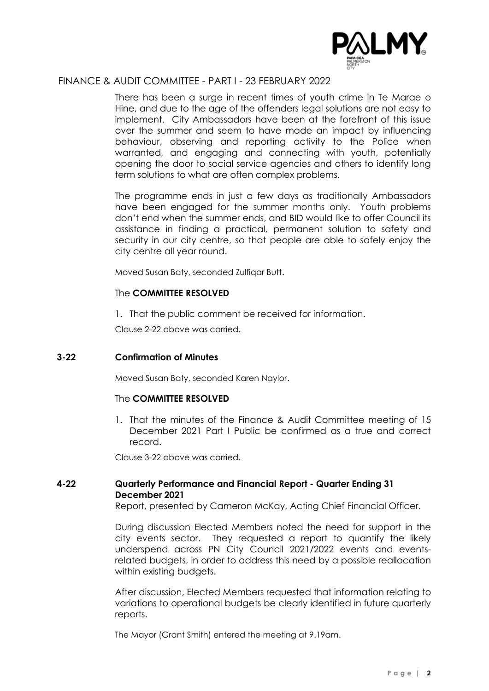

There has been a surge in recent times of youth crime in Te Marae o Hine, and due to the age of the offenders legal solutions are not easy to implement. City Ambassadors have been at the forefront of this issue over the summer and seem to have made an impact by influencing behaviour, observing and reporting activity to the Police when warranted, and engaging and connecting with youth, potentially opening the door to social service agencies and others to identify long term solutions to what are often complex problems.

The programme ends in just a few days as traditionally Ambassadors have been engaged for the summer months only. Youth problems don't end when the summer ends, and BID would like to offer Council its assistance in finding a practical, permanent solution to safety and security in our city centre, so that people are able to safely enjoy the city centre all year round.

Moved Susan Baty, seconded Zulfiqar Butt.

# The **COMMITTEE RESOLVED**

1. That the public comment be received for information.

Clause 2-22 above was carried.

# **3-22 Confirmation of Minutes**

Moved Susan Baty, seconded Karen Naylor.

# The **COMMITTEE RESOLVED**

1. That the minutes of the Finance & Audit Committee meeting of 15 December 2021 Part I Public be confirmed as a true and correct record.

Clause 3-22 above was carried.

# **4-22 Quarterly Performance and Financial Report - Quarter Ending 31 December 2021**

Report, presented by Cameron McKay, Acting Chief Financial Officer.

During discussion Elected Members noted the need for support in the city events sector. They requested a report to quantify the likely underspend across PN City Council 2021/2022 events and eventsrelated budgets, in order to address this need by a possible reallocation within existing budgets.

After discussion, Elected Members requested that information relating to variations to operational budgets be clearly identified in future quarterly reports.

The Mayor (Grant Smith) entered the meeting at 9.19am.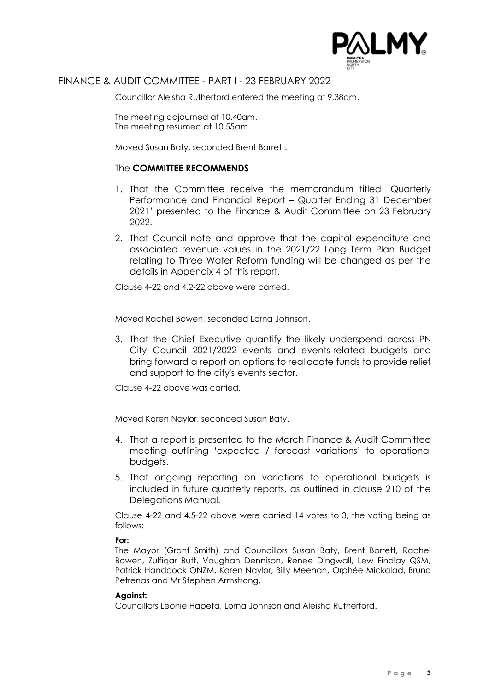

Councillor Aleisha Rutherford entered the meeting at 9.38am.

The meeting adjourned at 10.40am. The meeting resumed at 10.55am.

Moved Susan Baty, seconded Brent Barrett.

# The **COMMITTEE RECOMMENDS**

- 1. That the Committee receive the memorandum titled 'Quarterly Performance and Financial Report – Quarter Ending 31 December 2021' presented to the Finance & Audit Committee on 23 February 2022.
- 2. That Council note and approve that the capital expenditure and associated revenue values in the 2021/22 Long Term Plan Budget relating to Three Water Reform funding will be changed as per the details in Appendix 4 of this report.

Clause 4-22 and 4.2-22 above were carried.

Moved Rachel Bowen, seconded Lorna Johnson.

3. That the Chief Executive quantify the likely underspend across PN City Council 2021/2022 events and events-related budgets and bring forward a report on options to reallocate funds to provide relief and support to the city's events sector.

Clause 4-22 above was carried.

Moved Karen Naylor, seconded Susan Baty.

- 4. That a report is presented to the March Finance & Audit Committee meeting outlining 'expected / forecast variations' to operational budgets.
- 5. That ongoing reporting on variations to operational budgets is included in future quarterly reports, as outlined in clause 210 of the Delegations Manual.

Clause 4-22 and 4.5-22 above were carried 14 votes to 3, the voting being as follows:

#### **For:**

The Mayor (Grant Smith) and Councillors Susan Baty, Brent Barrett, Rachel Bowen, Zulfiqar Butt, Vaughan Dennison, Renee Dingwall, Lew Findlay QSM, Patrick Handcock ONZM, Karen Naylor, Billy Meehan, Orphée Mickalad, Bruno Petrenas and Mr Stephen Armstrong.

#### **Against:**

Councillors Leonie Hapeta, Lorna Johnson and Aleisha Rutherford.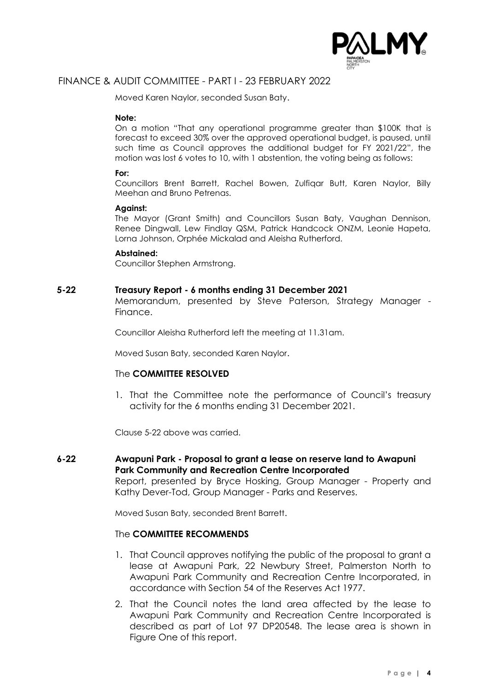

Moved Karen Naylor, seconded Susan Baty.

#### **Note:**

On a motion "That any operational programme greater than \$100K that is forecast to exceed 30% over the approved operational budget, is paused, until such time as Council approves the additional budget for FY 2021/22", the motion was lost 6 votes to 10, with 1 abstention, the voting being as follows:

#### **For:**

Councillors Brent Barrett, Rachel Bowen, Zulfiqar Butt, Karen Naylor, Billy Meehan and Bruno Petrenas.

#### **Against:**

The Mayor (Grant Smith) and Councillors Susan Baty, Vaughan Dennison, Renee Dingwall, Lew Findlay QSM, Patrick Handcock ONZM, Leonie Hapeta, Lorna Johnson, Orphée Mickalad and Aleisha Rutherford.

#### **Abstained:**

Councillor Stephen Armstrong.

#### **5-22 Treasury Report - 6 months ending 31 December 2021**

Memorandum, presented by Steve Paterson, Strategy Manager - Finance.

Councillor Aleisha Rutherford left the meeting at 11.31am.

Moved Susan Baty, seconded Karen Naylor.

#### The **COMMITTEE RESOLVED**

1. That the Committee note the performance of Council's treasury activity for the 6 months ending 31 December 2021.

Clause 5-22 above was carried.

**6-22 Awapuni Park - Proposal to grant a lease on reserve land to Awapuni Park Community and Recreation Centre Incorporated** Report, presented by Bryce Hosking, Group Manager - Property and Kathy Dever-Tod, Group Manager - Parks and Reserves.

Moved Susan Baty, seconded Brent Barrett.

## The **COMMITTEE RECOMMENDS**

- 1. That Council approves notifying the public of the proposal to grant a lease at Awapuni Park, 22 Newbury Street, Palmerston North to Awapuni Park Community and Recreation Centre Incorporated, in accordance with Section 54 of the Reserves Act 1977.
- 2. That the Council notes the land area affected by the lease to Awapuni Park Community and Recreation Centre Incorporated is described as part of Lot 97 DP20548. The lease area is shown in Figure One of this report.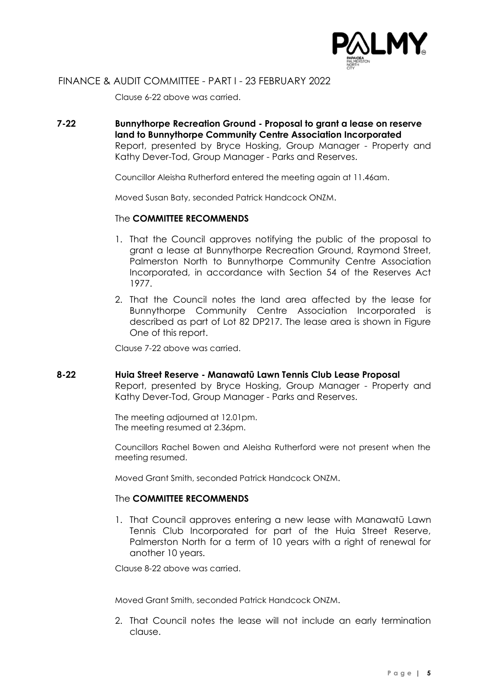

Clause 6-22 above was carried.

**7-22 Bunnythorpe Recreation Ground - Proposal to grant a lease on reserve land to Bunnythorpe Community Centre Association Incorporated** Report, presented by Bryce Hosking, Group Manager - Property and Kathy Dever-Tod, Group Manager - Parks and Reserves.

Councillor Aleisha Rutherford entered the meeting again at 11.46am.

Moved Susan Baty, seconded Patrick Handcock ONZM.

# The **COMMITTEE RECOMMENDS**

- 1. That the Council approves notifying the public of the proposal to grant a lease at Bunnythorpe Recreation Ground, Raymond Street, Palmerston North to Bunnythorpe Community Centre Association Incorporated, in accordance with Section 54 of the Reserves Act 1977.
- 2. That the Council notes the land area affected by the lease for Bunnythorpe Community Centre Association Incorporated is described as part of Lot 82 DP217. The lease area is shown in Figure One of this report.

Clause 7-22 above was carried.

#### **8-22 Huia Street Reserve - Manawatū Lawn Tennis Club Lease Proposal**

Report, presented by Bryce Hosking, Group Manager - Property and Kathy Dever-Tod, Group Manager - Parks and Reserves.

The meeting adjourned at 12.01pm. The meeting resumed at 2.36pm.

Councillors Rachel Bowen and Aleisha Rutherford were not present when the meeting resumed.

Moved Grant Smith, seconded Patrick Handcock ONZM.

# The **COMMITTEE RECOMMENDS**

1. That Council approves entering a new lease with Manawatū Lawn Tennis Club Incorporated for part of the Huia Street Reserve, Palmerston North for a term of 10 years with a right of renewal for another 10 years.

Clause 8-22 above was carried.

Moved Grant Smith, seconded Patrick Handcock ONZM.

2. That Council notes the lease will not include an early termination clause.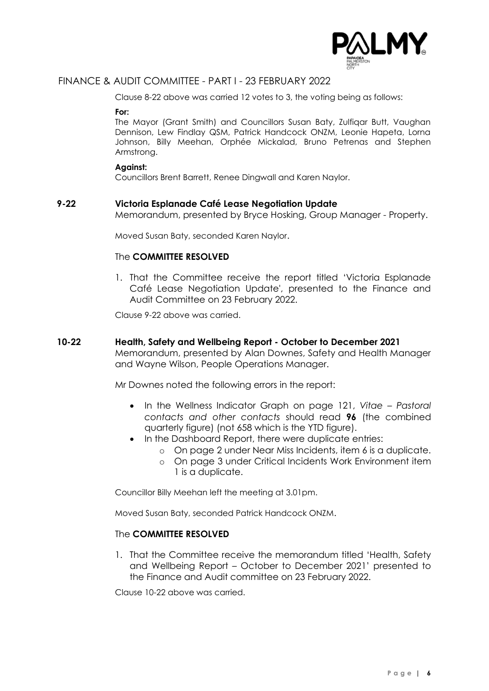

Clause 8-22 above was carried 12 votes to 3, the voting being as follows:

**For:**

The Mayor (Grant Smith) and Councillors Susan Baty, Zulfiqar Butt, Vaughan Dennison, Lew Findlay QSM, Patrick Handcock ONZM, Leonie Hapeta, Lorna Johnson, Billy Meehan, Orphée Mickalad, Bruno Petrenas and Stephen Armstrong.

#### **Against:**

Councillors Brent Barrett, Renee Dingwall and Karen Naylor.

# **9-22 Victoria Esplanade Café Lease Negotiation Update**

Memorandum, presented by Bryce Hosking, Group Manager - Property.

Moved Susan Baty, seconded Karen Naylor.

## The **COMMITTEE RESOLVED**

1. That the Committee receive the report titled 'Victoria Esplanade Café Lease Negotiation Update', presented to the Finance and Audit Committee on 23 February 2022.

Clause 9-22 above was carried.

#### **10-22 Health, Safety and Wellbeing Report - October to December 2021**

Memorandum, presented by Alan Downes, Safety and Health Manager and Wayne Wilson, People Operations Manager.

Mr Downes noted the following errors in the report:

- In the Wellness Indicator Graph on page 121, *Vitae – Pastoral contacts and other contacts* should read **96** (the combined quarterly figure) (not 658 which is the YTD figure).
- In the Dashboard Report, there were duplicate entries:
	- o On page 2 under Near Miss Incidents, item 6 is a duplicate.
	- o On page 3 under Critical Incidents Work Environment item 1 is a duplicate.

Councillor Billy Meehan left the meeting at 3.01pm.

Moved Susan Baty, seconded Patrick Handcock ONZM.

# The **COMMITTEE RESOLVED**

1. That the Committee receive the memorandum titled 'Health, Safety and Wellbeing Report – October to December 2021' presented to the Finance and Audit committee on 23 February 2022.

Clause 10-22 above was carried.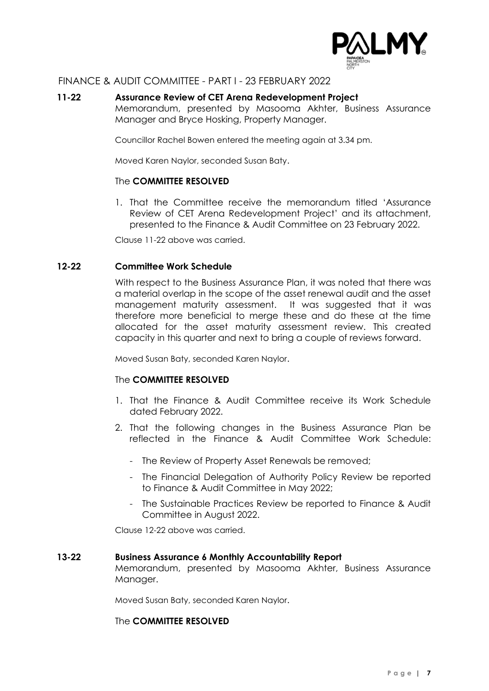

## **11-22 Assurance Review of CET Arena Redevelopment Project**

Memorandum, presented by Masooma Akhter, Business Assurance Manager and Bryce Hosking, Property Manager.

Councillor Rachel Bowen entered the meeting again at 3.34 pm.

Moved Karen Naylor, seconded Susan Baty.

#### The **COMMITTEE RESOLVED**

1. That the Committee receive the memorandum titled 'Assurance Review of CET Arena Redevelopment Project' and its attachment, presented to the Finance & Audit Committee on 23 February 2022.

Clause 11-22 above was carried.

#### **12-22 Committee Work Schedule**

With respect to the Business Assurance Plan, it was noted that there was a material overlap in the scope of the asset renewal audit and the asset management maturity assessment. It was suggested that it was therefore more beneficial to merge these and do these at the time allocated for the asset maturity assessment review. This created capacity in this quarter and next to bring a couple of reviews forward.

Moved Susan Baty, seconded Karen Naylor.

#### The **COMMITTEE RESOLVED**

- 1. That the Finance & Audit Committee receive its Work Schedule dated February 2022.
- 2. That the following changes in the Business Assurance Plan be reflected in the Finance & Audit Committee Work Schedule:
	- The Review of Property Asset Renewals be removed;
	- The Financial Delegation of Authority Policy Review be reported to Finance & Audit Committee in May 2022;
	- The Sustainable Practices Review be reported to Finance & Audit Committee in August 2022.

Clause 12-22 above was carried.

#### **13-22 Business Assurance 6 Monthly Accountability Report**

Memorandum, presented by Masooma Akhter, Business Assurance Manager.

Moved Susan Baty, seconded Karen Naylor.

#### The **COMMITTEE RESOLVED**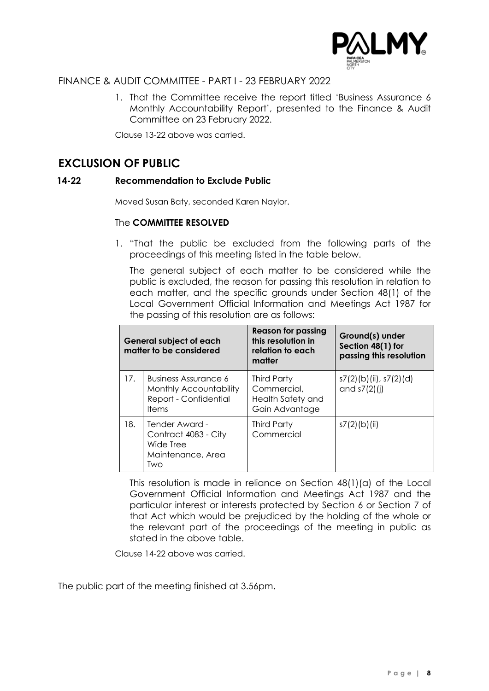

1. That the Committee receive the report titled 'Business Assurance 6 Monthly Accountability Report', presented to the Finance & Audit Committee on 23 February 2022.

Clause 13-22 above was carried.

# **EXCLUSION OF PUBLIC**

# **14-22 Recommendation to Exclude Public**

Moved Susan Baty, seconded Karen Naylor.

# The **COMMITTEE RESOLVED**

1. "That the public be excluded from the following parts of the proceedings of this meeting listed in the table below.

The general subject of each matter to be considered while the public is excluded, the reason for passing this resolution in relation to each matter, and the specific grounds under Section 48(1) of the Local Government Official Information and Meetings Act 1987 for the passing of this resolution are as follows:

| <b>General subject of each</b><br>matter to be considered |                                                                                  | <b>Reason for passing</b><br>this resolution in<br>relation to each<br>matter | Ground(s) under<br>Section 48(1) for<br>passing this resolution |
|-----------------------------------------------------------|----------------------------------------------------------------------------------|-------------------------------------------------------------------------------|-----------------------------------------------------------------|
| 17.                                                       | Business Assurance 6<br>Monthly Accountability<br>Report - Confidential<br>Items | <b>Third Party</b><br>Commercial,<br>Health Safety and<br>Gain Advantage      | s7(2)(b)(ii), s7(2)(d)<br>and $s7(2)$ (j)                       |
| 18.                                                       | Tender Award -<br>Contract 4083 - City<br>Wide Tree<br>Maintenance, Area<br>Two  | <b>Third Party</b><br>Commercial                                              | $s7(2)$ (b)(ii)                                                 |

This resolution is made in reliance on Section 48(1)(a) of the Local Government Official Information and Meetings Act 1987 and the particular interest or interests protected by Section 6 or Section 7 of that Act which would be prejudiced by the holding of the whole or the relevant part of the proceedings of the meeting in public as stated in the above table.

Clause 14-22 above was carried.

The public part of the meeting finished at 3.56pm.